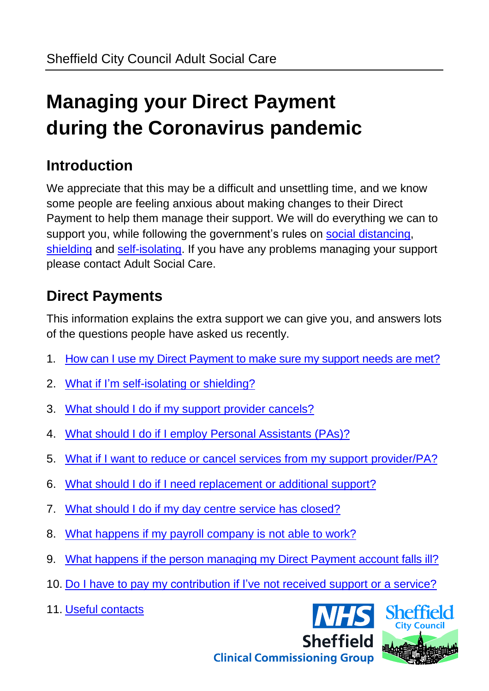# **Managing your Direct Payment during the Coronavirus pandemic**

### **Introduction**

We appreciate that this may be a difficult and unsettling time, and we know some people are feeling anxious about making changes to their Direct Payment to help them manage their support. We will do everything we can to support you, while following the government's rules on [social distancing,](https://www.gov.uk/government/publications/covid-19-guidance-on-social-distancing-and-for-vulnerable-people) [shielding](https://www.gov.uk/government/publications/guidance-on-shielding-and-protecting-extremely-vulnerable-persons-from-covid-19) and [self-isolating.](https://www.gov.uk/government/publications/covid-19-stay-at-home-guidance) If you have any problems managing your support please contact Adult Social Care.

### **Direct Payments**

This information explains the extra support we can give you, and answers lots of the questions people have asked us recently.

- 1. [How can I use my Direct Payment](#page-0-0) to make sure my support needs are met?
- 2. [What if I'm self-isolating or](#page-2-0) shielding?
- 3. [What should I do if my support](#page-2-1) provider cancels?
- 4. [What should I do if I employ Personal Assistants \(PAs\)?](#page-3-0)
- 5. [What if I want to reduce or cancel services from my support](#page-4-0) provider/PA?
- 6. [What should I do if I need replacement or additional support?](#page-5-0)
- 7. [What should I do if my day centre](#page-6-0) service has closed?
- 8. [What happens if my payroll company is not able to work?](#page-7-0)
- 9. [What happens if the person managing my Direct Payment](#page-7-1) account falls ill?
- 10. [Do I have to pay my contribution if I've not received support or a service?](#page-8-0)
- 11. [Useful contacts](#page-9-0)

<span id="page-0-0"></span>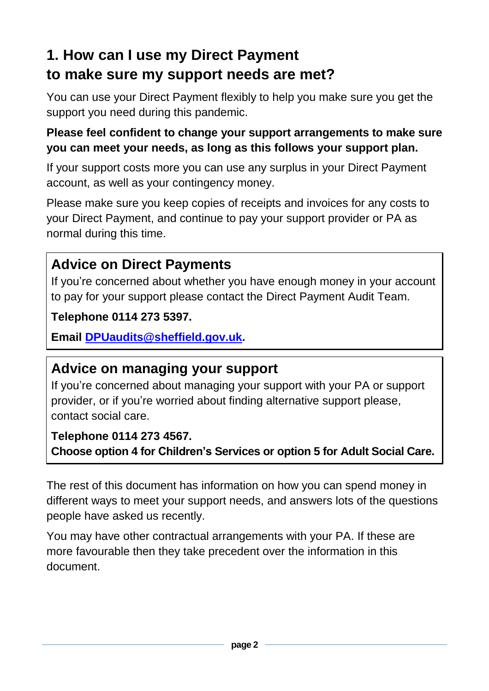# **1. How can I use my Direct Payment to make sure my support needs are met?**

You can use your Direct Payment flexibly to help you make sure you get the support you need during this pandemic.

#### **Please feel confident to change your support arrangements to make sure you can meet your needs, as long as this follows your support plan.**

If your support costs more you can use any surplus in your Direct Payment account, as well as your contingency money.

Please make sure you keep copies of receipts and invoices for any costs to your Direct Payment, and continue to pay your support provider or PA as normal during this time.

### **Advice on Direct Payments**

If you're concerned about whether you have enough money in your account to pay for your support please contact the Direct Payment Audit Team.

#### **Telephone 0114 273 5397.**

**Email [DPUaudits@sheffield.gov.uk.](mailto:DPUaudits@sheffield.gov.uk)**

### **Advice on managing your support**

If you're concerned about managing your support with your PA or support provider, or if you're worried about finding alternative support please, contact social care.

### **Telephone [0114 273 4567.](tel:0114%20273%204567)**

**Choose option 4 for Children's Services or option 5 for Adult Social Care.**

The rest of this document has information on how you can spend money in different ways to meet your support needs, and answers lots of the questions people have asked us recently.

You may have other contractual arrangements with your PA. If these are more favourable then they take precedent over the information in this document.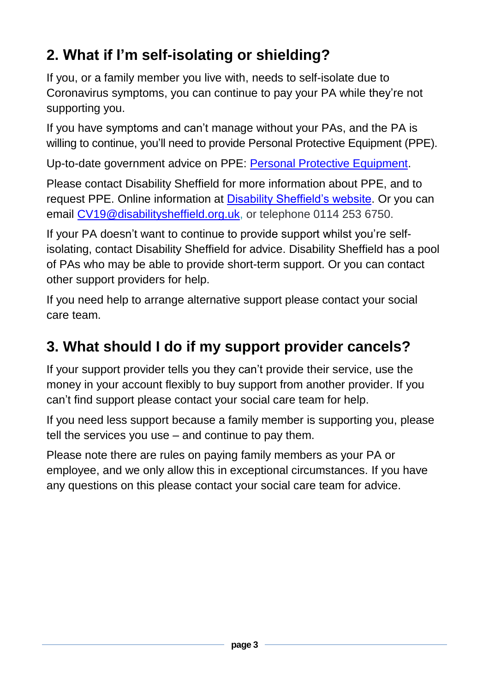# <span id="page-2-0"></span>**2. What if I'm self-isolating or shielding?**

If you, or a family member you live with, needs to self-isolate due to Coronavirus symptoms, you can continue to pay your PA while they're not supporting you.

If you have symptoms and can't manage without your PAs, and the PA is willing to continue, you'll need to provide Personal Protective Equipment (PPE).

Up-to-date government advice on PPE: [Personal Protective Equipment.](https://www.gov.uk/government/publications/wuhan-novel-coronavirus-infection-prevention-and-control/covid-19-personal-protective-equipment-ppe)

Please contact Disability Sheffield for more information about PPE, and to request PPE. Online information at [Disability Sheffield's website.](https://www.disabilitysheffield.org.uk/coronavirus-information-and-support#3) Or you can email [CV19@disabilitysheffield.org.uk,](mailto:CV19@disabilitysheffield.org.uk) or telephone 0114 253 6750.

If your PA doesn't want to continue to provide support whilst you're selfisolating, contact Disability Sheffield for advice. Disability Sheffield has a pool of PAs who may be able to provide short-term support. Or you can contact other support providers for help.

If you need help to arrange alternative support please contact your social care team.

### <span id="page-2-1"></span>**3. What should I do if my support provider cancels?**

If your support provider tells you they can't provide their service, use the money in your account flexibly to buy support from another provider. If you can't find support please contact your social care team for help.

If you need less support because a family member is supporting you, please tell the services you use – and continue to pay them.

Please note there are rules on paying family members as your PA or employee, and we only allow this in exceptional circumstances. If you have any questions on this please contact your social care team for advice.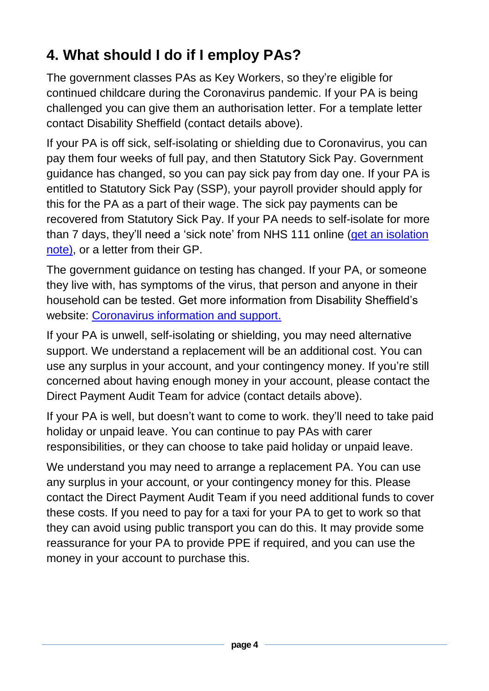# <span id="page-3-0"></span>**4. What should I do if I employ PAs?**

The government classes PAs as Key Workers, so they're eligible for continued childcare during the Coronavirus pandemic. If your PA is being challenged you can give them an authorisation letter. For a template letter contact Disability Sheffield (contact details above).

If your PA is off sick, self-isolating or shielding due to Coronavirus, you can pay them four weeks of full pay, and then Statutory Sick Pay. Government guidance has changed, so you can pay sick pay from day one. If your PA is entitled to Statutory Sick Pay (SSP), your payroll provider should apply for this for the PA as a part of their wage. The sick pay payments can be recovered from Statutory Sick Pay. If your PA needs to self-isolate for more than 7 days, they'll need a 'sick note' from NHS 111 online [\(get an isolation](https://111.nhs.uk/isolation-note/)  [note\),](https://111.nhs.uk/isolation-note/) or a letter from their GP.

The government guidance on testing has changed. If your PA, or someone they live with, has symptoms of the virus, that person and anyone in their household can be tested. Get more information from Disability Sheffield's website: [Coronavirus information and support.](https://disabilitysheffield.org.uk/coronavirus-information-and-support)

If your PA is unwell, self-isolating or shielding, you may need alternative support. We understand a replacement will be an additional cost. You can use any surplus in your account, and your contingency money. If you're still concerned about having enough money in your account, please contact the Direct Payment Audit Team for advice (contact details above).

If your PA is well, but doesn't want to come to work. they'll need to take paid holiday or unpaid leave. You can continue to pay PAs with carer responsibilities, or they can choose to take paid holiday or unpaid leave.

We understand you may need to arrange a replacement PA. You can use any surplus in your account, or your contingency money for this. Please contact the Direct Payment Audit Team if you need additional funds to cover these costs. If you need to pay for a taxi for your PA to get to work so that they can avoid using public transport you can do this. It may provide some reassurance for your PA to provide PPE if required, and you can use the money in your account to purchase this.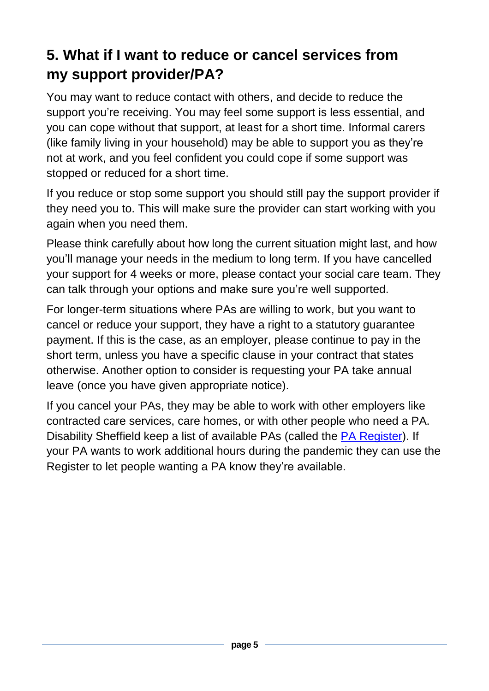### <span id="page-4-0"></span>**5. What if I want to reduce or cancel services from my support provider/PA?**

You may want to reduce contact with others, and decide to reduce the support you're receiving. You may feel some support is less essential, and you can cope without that support, at least for a short time. Informal carers (like family living in your household) may be able to support you as they're not at work, and you feel confident you could cope if some support was stopped or reduced for a short time.

If you reduce or stop some support you should still pay the support provider if they need you to. This will make sure the provider can start working with you again when you need them.

Please think carefully about how long the current situation might last, and how you'll manage your needs in the medium to long term. If you have cancelled your support for 4 weeks or more, please contact your social care team. They can talk through your options and make sure you're well supported.

For longer-term situations where PAs are willing to work, but you want to cancel or reduce your support, they have a right to a statutory guarantee payment. If this is the case, as an employer, please continue to pay in the short term, unless you have a specific clause in your contract that states otherwise. Another option to consider is requesting your PA take annual leave (once you have given appropriate notice).

If you cancel your PAs, they may be able to work with other employers like contracted care services, care homes, or with other people who need a PA. Disability Sheffield keep a list of available PAs (called the [PA Register\)](https://disabilitysheffield.org.uk/pa-register/). If your PA wants to work additional hours during the pandemic they can use the Register to let people wanting a PA know they're available.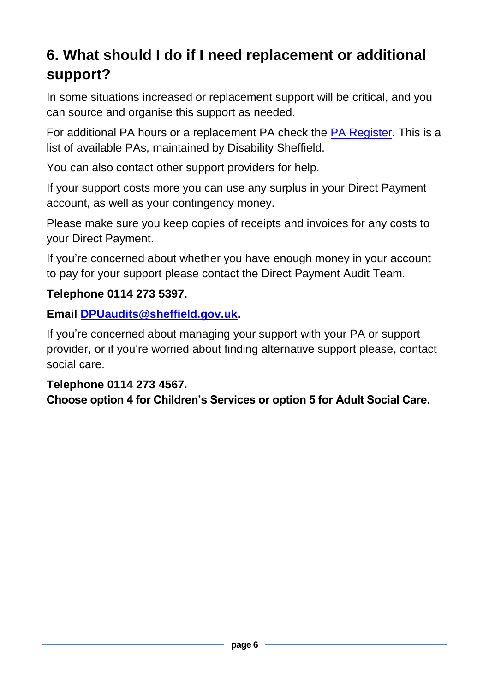# <span id="page-5-0"></span>**6. What should I do if I need replacement or additional support?**

In some situations increased or replacement support will be critical, and you can source and organise this support as needed.

For additional PA hours or a replacement PA check the [PA Register.](https://disabilitysheffield.org.uk/pa-register/) This is a list of available PAs, maintained by Disability Sheffield.

You can also contact other support providers for help.

If your support costs more you can use any surplus in your Direct Payment account, as well as your contingency money.

Please make sure you keep copies of receipts and invoices for any costs to your Direct Payment.

If you're concerned about whether you have enough money in your account to pay for your support please contact the Direct Payment Audit Team.

#### **Telephone 0114 273 5397.**

**Email [DPUaudits@sheffield.gov.uk.](mailto:DPUaudits@sheffield.gov.uk)**

If you're concerned about managing your support with your PA or support provider, or if you're worried about finding alternative support please, contact social care.

#### **Telephone [0114 273 4567.](tel:0114%20273%204567)**

**Choose option 4 for Children's Services or option 5 for Adult Social Care.**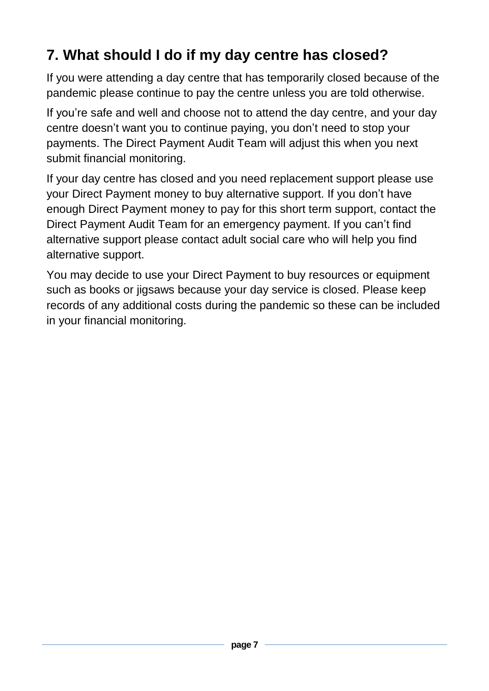# <span id="page-6-0"></span>**7. What should I do if my day centre has closed?**

If you were attending a day centre that has temporarily closed because of the pandemic please continue to pay the centre unless you are told otherwise.

If you're safe and well and choose not to attend the day centre, and your day centre doesn't want you to continue paying, you don't need to stop your payments. The Direct Payment Audit Team will adjust this when you next submit financial monitoring.

If your day centre has closed and you need replacement support please use your Direct Payment money to buy alternative support. If you don't have enough Direct Payment money to pay for this short term support, contact the Direct Payment Audit Team for an emergency payment. If you can't find alternative support please contact adult social care who will help you find alternative support.

You may decide to use your Direct Payment to buy resources or equipment such as books or jigsaws because your day service is closed. Please keep records of any additional costs during the pandemic so these can be included in your financial monitoring.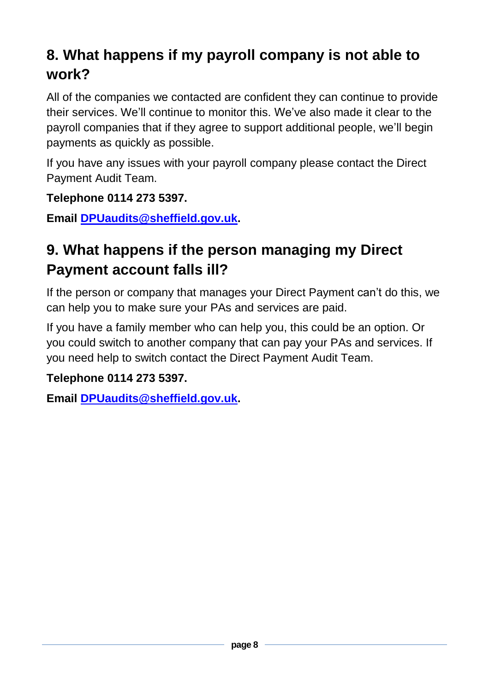### <span id="page-7-0"></span>**8. What happens if my payroll company is not able to work?**

All of the companies we contacted are confident they can continue to provide their services. We'll continue to monitor this. We've also made it clear to the payroll companies that if they agree to support additional people, we'll begin payments as quickly as possible.

If you have any issues with your payroll company please contact the Direct Payment Audit Team.

**Telephone 0114 273 5397.**

**Email [DPUaudits@sheffield.gov.uk.](mailto:DPUaudits@sheffield.gov.uk)** 

### <span id="page-7-1"></span>**9. What happens if the person managing my Direct Payment account falls ill?**

If the person or company that manages your Direct Payment can't do this, we can help you to make sure your PAs and services are paid.

If you have a family member who can help you, this could be an option. Or you could switch to another company that can pay your PAs and services. If you need help to switch contact the Direct Payment Audit Team.

**Telephone 0114 273 5397.**

**Email [DPUaudits@sheffield.gov.uk.](mailto:DPUaudits@sheffield.gov.uk)**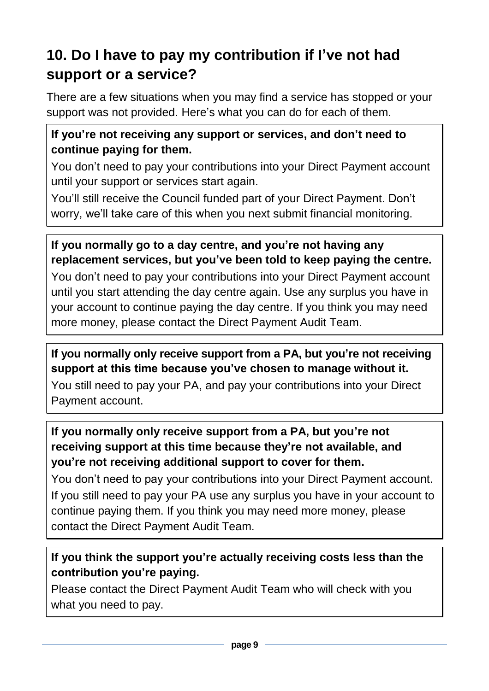### <span id="page-8-0"></span>**10. Do I have to pay my contribution if I've not had support or a service?**

There are a few situations when you may find a service has stopped or your support was not provided. Here's what you can do for each of them.

### **If you're not receiving any support or services, and don't need to continue paying for them.**

You don't need to pay your contributions into your Direct Payment account until your support or services start again.

You'll still receive the Council funded part of your Direct Payment. Don't worry, we'll take care of this when you next submit financial monitoring.

### **If you normally go to a day centre, and you're not having any replacement services, but you've been told to keep paying the centre.**

You don't need to pay your contributions into your Direct Payment account until you start attending the day centre again. Use any surplus you have in your account to continue paying the day centre. If you think you may need more money, please contact the Direct Payment Audit Team.

### **If you normally only receive support from a PA, but you're not receiving support at this time because you've chosen to manage without it.**

You still need to pay your PA, and pay your contributions into your Direct Payment account.

### **If you normally only receive support from a PA, but you're not receiving support at this time because they're not available, and you're not receiving additional support to cover for them.**

You don't need to pay your contributions into your Direct Payment account. If you still need to pay your PA use any surplus you have in your account to continue paying them. If you think you may need more money, please contact the Direct Payment Audit Team.

### **If you think the support you're actually receiving costs less than the contribution you're paying.**

Please contact the Direct Payment Audit Team who will check with you what you need to pay.